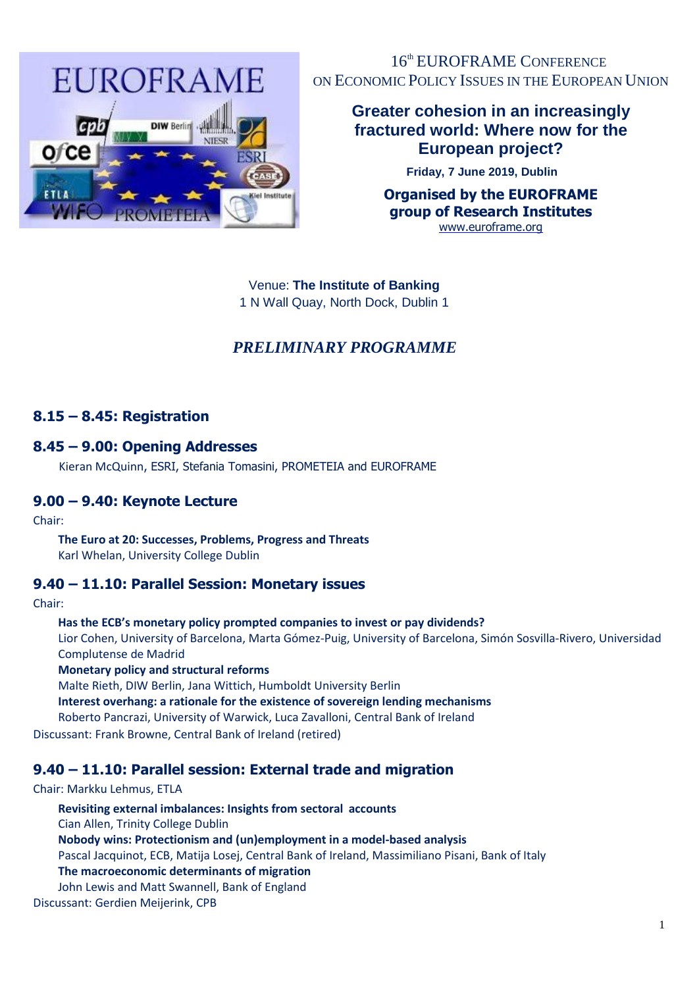

16<sup>th</sup> EUROFRAME CONFERENCE ON ECONOMIC POLICY ISSUES IN THE EUROPEAN UNION

# **Greater cohesion in an increasingly fractured world: Where now for the European project?**

**Friday, 7 June 2019, Dublin**

**Organised by the EUROFRAME group of Research Institutes**  [www.euroframe.org](http://www.euroframe.org/)

Venue: **The Institute of Banking**  1 N Wall Quay, North Dock, Dublin 1

# *PRELIMINARY PROGRAMME*

## **8.15 – 8.45: Registration**

## **8.45 – 9.00: Opening Addresses**

Kieran McQuinn, ESRI, Stefania Tomasini, PROMETEIA and EUROFRAME

## **9.00 – 9.40: Keynote Lecture**

Chair:

**The Euro at 20: Successes, Problems, Progress and Threats** Karl Whelan, University College Dublin

## **9.40 – 11.10: Parallel Session: Monetary issues**

Chair:

**Has the ECB's monetary policy prompted companies to invest or pay dividends?**

Lior Cohen, University of Barcelona, Marta Gómez-Puig, University of Barcelona, Simón Sosvilla-Rivero, Universidad Complutense de Madrid

**Monetary policy and structural reforms**

Malte Rieth, DIW Berlin, Jana Wittich, Humboldt University Berlin

**Interest overhang: a rationale for the existence of sovereign lending mechanisms**

Roberto Pancrazi, University of Warwick, Luca Zavalloni, Central Bank of Ireland

Discussant: Frank Browne, Central Bank of Ireland (retired)

# **9.40 – 11.10: Parallel session: External trade and migration**

#### Chair: Markku Lehmus, ETLA

**Revisiting external imbalances: Insights from sectoral accounts**  Cian Allen, Trinity College Dublin **Nobody wins: Protectionism and (un)employment in a model-based analysis** Pascal Jacquinot, ECB, Matija Losej, Central Bank of Ireland, Massimiliano Pisani, Bank of Italy **The macroeconomic determinants of migration** John Lewis and Matt Swannell, Bank of England Discussant: Gerdien Meijerink, CPB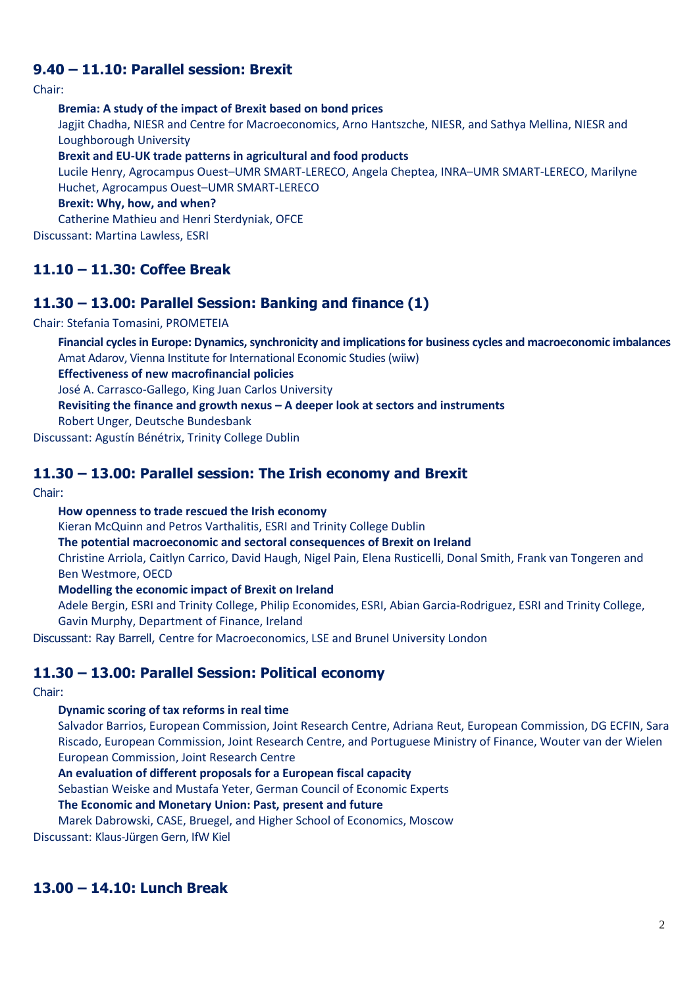## **9.40 – 11.10: Parallel session: Brexit**

Chair:

**Bremia: A study of the impact of Brexit based on bond prices**

Jagjit Chadha, NIESR and Centre for Macroeconomics, Arno Hantszche, NIESR, and Sathya Mellina, NIESR and Loughborough University

**Brexit and EU-UK trade patterns in agricultural and food products** 

Lucile Henry, Agrocampus Ouest–UMR SMART-LERECO, Angela Cheptea, INRA–UMR SMART-LERECO, Marilyne Huchet, Agrocampus Ouest–UMR SMART-LERECO

**Brexit: Why, how, and when?**

Catherine Mathieu and Henri Sterdyniak, OFCE

Discussant: Martina Lawless, ESRI

## **11.10 – 11.30: Coffee Break**

### **11.30 – 13.00: Parallel Session: Banking and finance (1)**

Chair: Stefania Tomasini, PROMETEIA

**Financial cycles in Europe: Dynamics, synchronicity and implications for business cycles and macroeconomic imbalances** Amat Adarov, Vienna Institute for International Economic Studies (wiiw)

**Effectiveness of new macrofinancial policies**

José A. Carrasco-Gallego, King Juan Carlos University

**Revisiting the finance and growth nexus – A deeper look at sectors and instruments**

Robert Unger, Deutsche Bundesbank

Discussant: Agustín Bénétrix, Trinity College Dublin

### **11.30 – 13.00: Parallel session: The Irish economy and Brexit**

Chair:

**How openness to trade rescued the Irish economy**

Kieran McQuinn and Petros Varthalitis, ESRI and Trinity College Dublin

**The potential macroeconomic and sectoral consequences of Brexit on Ireland**

Christine Arriola, Caitlyn Carrico, David Haugh, Nigel Pain, Elena Rusticelli, Donal Smith, Frank van Tongeren and Ben Westmore, OECD

**Modelling the economic impact of Brexit on Ireland**

Adele Bergin, ESRI and Trinity College, Philip Economides, ESRI, Abian Garcia-Rodriguez, ESRI and Trinity College, Gavin Murphy, Department of Finance, Ireland

Discussant: Ray Barrell, Centre for Macroeconomics, LSE and Brunel University London

### **11.30 – 13.00: Parallel Session: Political economy**

Chair:

#### **Dynamic scoring of tax reforms in real time**

Salvador Barrios, European Commission, Joint Research Centre, Adriana Reut, European Commission, DG ECFIN, Sara Riscado, European Commission, Joint Research Centre, and Portuguese Ministry of Finance, Wouter van der Wielen European Commission, Joint Research Centre

**An evaluation of different proposals for a European fiscal capacity** 

Sebastian Weiske and Mustafa Yeter, German Council of Economic Experts

**The Economic and Monetary Union: Past, present and future**

Marek Dabrowski, CASE, Bruegel, and Higher School of Economics, Moscow

Discussant: Klaus-Jürgen Gern, IfW Kiel

### **13.00 – 14.10: Lunch Break**